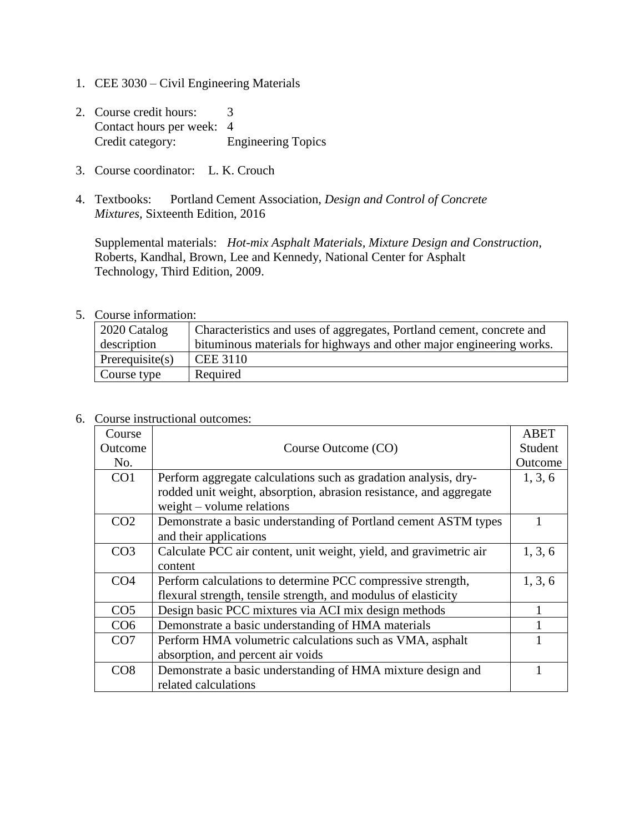- 1. CEE 3030 Civil Engineering Materials
- 2. Course credit hours: 3 Contact hours per week: 4 Credit category: Engineering Topics
- 3. Course coordinator: L. K. Crouch
- 4. Textbooks: Portland Cement Association, *Design and Control of Concrete Mixtures,* Sixteenth Edition, 2016

Supplemental materials: *Hot-mix Asphalt Materials, Mixture Design and Construction*, Roberts, Kandhal, Brown, Lee and Kennedy, National Center for Asphalt Technology, Third Edition, 2009.

## 5. Course information:

| 2020 Catalog       | Characteristics and uses of aggregates, Portland cement, concrete and |
|--------------------|-----------------------------------------------------------------------|
| description        | bituminous materials for highways and other major engineering works.  |
| Prerequisite $(s)$ | <b>CEE 3110</b>                                                       |
| Course type        | Required                                                              |

## 6. Course instructional outcomes:

| Course          |                                                                    | <b>ABET</b> |
|-----------------|--------------------------------------------------------------------|-------------|
| Outcome         | Course Outcome (CO)                                                | Student     |
| No.             |                                                                    | Outcome     |
| CO <sub>1</sub> | Perform aggregate calculations such as gradation analysis, dry-    | 1, 3, 6     |
|                 | rodded unit weight, absorption, abrasion resistance, and aggregate |             |
|                 | $weight - volume$ relations                                        |             |
| CO <sub>2</sub> | Demonstrate a basic understanding of Portland cement ASTM types    |             |
|                 | and their applications                                             |             |
| CO <sub>3</sub> | Calculate PCC air content, unit weight, yield, and gravimetric air | 1, 3, 6     |
|                 | content                                                            |             |
| CO <sub>4</sub> | Perform calculations to determine PCC compressive strength,        | 1, 3, 6     |
|                 | flexural strength, tensile strength, and modulus of elasticity     |             |
| CO <sub>5</sub> | Design basic PCC mixtures via ACI mix design methods               |             |
| CO <sub>6</sub> | Demonstrate a basic understanding of HMA materials                 |             |
| CO7             | Perform HMA volumetric calculations such as VMA, asphalt           |             |
|                 | absorption, and percent air voids                                  |             |
| CO8             | Demonstrate a basic understanding of HMA mixture design and        |             |
|                 | related calculations                                               |             |